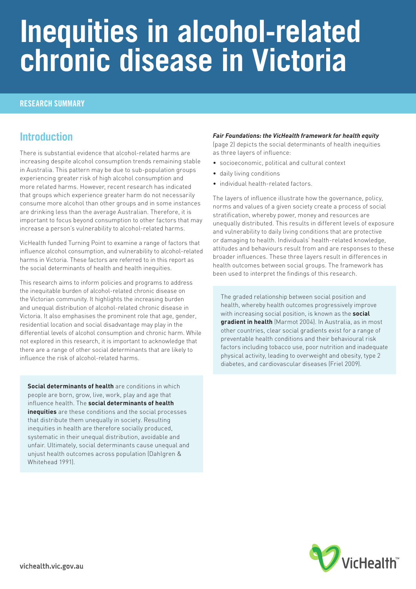# **Inequities in alcohol-related chronic disease in Victoria**

#### RESEARCH SUMMARY

### **Introduction**

There is substantial evidence that alcohol-related harms are increasing despite alcohol consumption trends remaining stable in Australia. This pattern may be due to sub-population groups experiencing greater risk of high alcohol consumption and more related harms. However, recent research has indicated that groups which experience greater harm do not necessarily consume more alcohol than other groups and in some instances are drinking less than the average Australian. Therefore, it is important to focus beyond consumption to other factors that may increase a person's vulnerability to alcohol-related harms.

VicHealth funded Turning Point to examine a range of factors that influence alcohol consumption, and vulnerability to alcohol-related harms in Victoria. These factors are referred to in this report as the social determinants of health and health inequities.

This research aims to inform policies and programs to address the inequitable burden of alcohol-related chronic disease on the Victorian community. It highlights the increasing burden and unequal distribution of alcohol-related chronic disease in Victoria. It also emphasises the prominent role that age, gender, residential location and social disadvantage may play in the differential levels of alcohol consumption and chronic harm. While not explored in this research, it is important to acknowledge that there are a range of other social determinants that are likely to influence the risk of alcohol-related harms.

**Social determinants of health** are conditions in which people are born, grow, live, work, play and age that influence health. The **social determinants of health inequities** are these conditions and the social processes that distribute them unequally in society. Resulting inequities in health are therefore socially produced, systematic in their unequal distribution, avoidable and unfair. Ultimately, social determinants cause unequal and unjust health outcomes across population (Dahlgren & Whitehead 1991).

#### *Fair Foundations: the VicHealth framework for health equity*

(page 2) depicts the social determinants of health inequities as three layers of influence:

- socioeconomic, political and cultural context
- daily living conditions
- individual health-related factors.

The layers of influence illustrate how the governance, policy, norms and values of a given society create a process of social stratification, whereby power, money and resources are unequally distributed. This results in different levels of exposure and vulnerability to daily living conditions that are protective or damaging to health. Individuals' health-related knowledge, attitudes and behaviours result from and are responses to these broader influences. These three layers result in differences in health outcomes between social groups. The framework has been used to interpret the findings of this research.

The graded relationship between social position and health, whereby health outcomes progressively improve with increasing social position, is known as the **social gradient in health** (Marmot 2004). In Australia, as in most other countries, clear social gradients exist for a range of preventable health conditions and their behavioural risk factors including tobacco use, poor nutrition and inadequate physical activity, leading to overweight and obesity, type 2 diabetes, and cardiovascular diseases (Friel 2009).

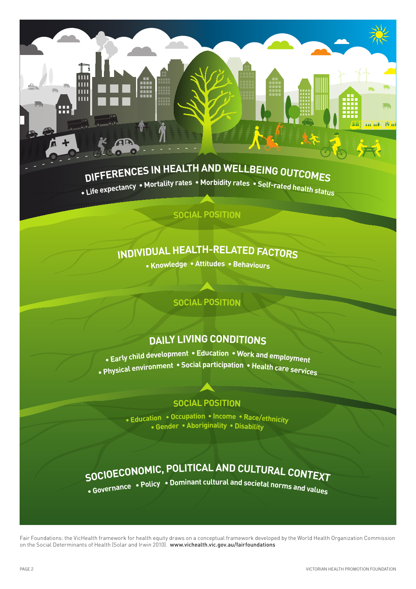# DIFFERENCES IN HEALTH AND WELLBEING OUTCOMES

m Ш  $\overline{\mathbf{H}}$ Ш

Life expectancy • Mortality rates • Morbidity rates • Self-rated health status

#### **social POSITION**

### INDIVIDUAL HEALTH-RELATED FACTORS

• Knowledge • Attitudes • Behaviours

### **social posiTion**

### **DAILY LIVING CONDITIONS**

 $\bullet$  Early child development  $\bullet$  Education  $\bullet$  Work and employment • Physical environment • Social participation • Health care services

### **social posiTion**

. Education . Occupation . Income . Race/ethnicity • Gender • Aboriginality • Disability

## SOCIOECONOMIC, POLITICAL AND CULTURAL CONTEXT

• Covernance • Policy • Dominant cultural and societal norms and values

Fair Foundations: the VicHealth framework for health equity draws on a conceptual framework developed by the World Health Organization Commission on the Social Determinants of Health (Solar and Irwin 2010). www.vichealth.vic.gov.au/fairfoundations

And <mark>And His and</mark>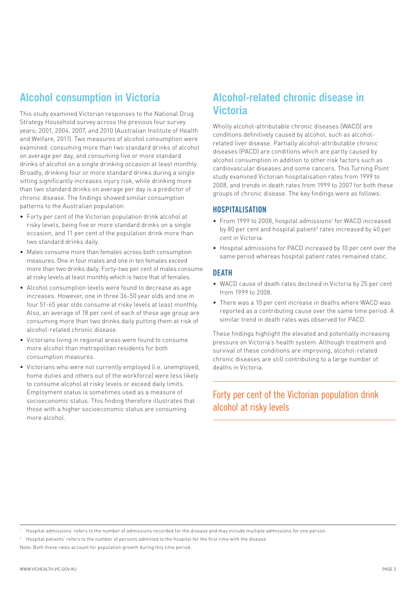### **Alcohol consumption in Victoria**

This study examined Victorian responses to the National Drug Strategy Household survey across the previous four survey years; 2001, 2004, 2007, and 2010 (Australian Institute of Health and Welfare, 2011). Two measures of alcohol consumption were examined: consuming more than two standard drinks of alcohol on average per day, and consuming five or more standard drinks of alcohol on a single drinking occasion at least monthly. Broadly, drinking four or more standard drinks during a single sitting significantly increases injury risk, while drinking more than two standard drinks on average per day is a predictor of chronic disease. The findings showed similar consumption patterns to the Australian population.

- Forty per cent of the Victorian population drink alcohol at risky levels, being five or more standard drinks on a single occasion, and 11 per cent of the population drink more than two standard drinks daily.
- Males consume more than females across both consumption measures. One in four males and one in ten females exceed more than two drinks daily. Forty-two per cent of males consume at risky levels at least monthly which is twice that of females.
- Alcohol consumption levels were found to decrease as age increases. However, one in three 36-50 year olds and one in four 51-65 year olds consume at risky levels at least monthly. Also, an average of 18 per cent of each of these age group are consuming more than two drinks daily putting them at risk of alcohol-related chronic disease.
- Victorians living in regional areas were found to consume more alcohol than metropolitan residents for both consumption measures.
- Victorians who were not currently employed (i.e. unemployed, home duties and others out of the workforce) were less likely to consume alcohol at risky levels or exceed daily limits. Employment status is sometimes used as a measure of socioeconomic status. This finding therefore illustrates that those with a higher socioeconomic status are consuming more alcohol.

### **Alcohol-related chronic disease in Victoria**

Wholly alcohol-attributable chronic diseases (WACD) are conditions definitively caused by alcohol, such as alcoholrelated liver disease. Partially alcohol-attributable chronic diseases (PACD) are conditions which are partly caused by alcohol consumption in addition to other risk factors such as cardiovascular diseases and some cancers. This Turning Point study examined Victorian hospitalisation rates from 1999 to 2008, and trends in death rates from 1999 to 2007 for both these groups of chronic disease. The key findings were as follows:

#### HOSPITALISATION

- From 1999 to 2008, hospital admissions<sup>1</sup> for WACD increased by 80 per cent and hospital patient<sup>2</sup> rates increased by 40 per cent in Victoria.
- Hospital admissions for PACD increased by 10 per cent over the same period whereas hospital patient rates remained static.

#### **DEATH**

- WACD cause of death rates declined in Victoria by 25 per cent from 1999 to 2008.
- There was a 10 per cent increase in deaths where WACD was reported as a contributing cause over the same time period. A similar trend in death rates was observed for PACD.

These findings highlight the elevated and potentially increasing pressure on Victoria's health system. Although treatment and survival of these conditions are improving, alcohol-related chronic diseases are still contributing to a large number of deaths in Victoria.

### Forty per cent of the Victorian population drink alcohol at risky levels

<sup>1</sup> 'Hospital admissions' refers to the number of admissions recorded for the disease and may include multiple admissions for one person.

 $^\circ$  'Hospital patients' refers to the number of persons admitted to the hospital for the first time with the disease Note: Both these rates account for population growth during this time period.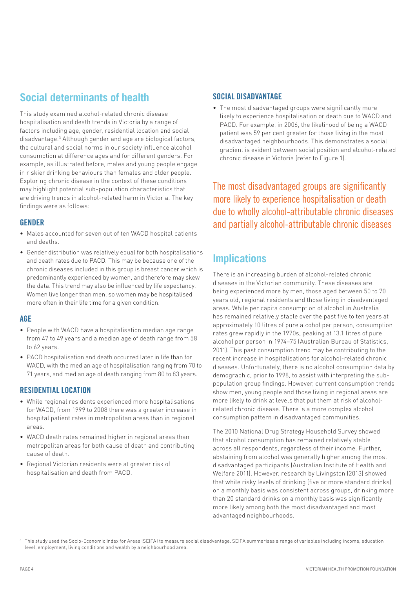### **Social determinants of health**

This study examined alcohol-related chronic disease hospitalisation and death trends in Victoria by a range of factors including age, gender, residential location and social disadvantage.3 Although gender and age are biological factors, the cultural and social norms in our society influence alcohol consumption at difference ages and for different genders. For example, as illustrated before, males and young people engage in riskier drinking behaviours than females and older people. Exploring chronic disease in the context of these conditions may highlight potential sub-population characteristics that are driving trends in alcohol-related harm in Victoria. The key findings were as follows:

#### GENDER

- Males accounted for seven out of ten WACD hospital patients and deaths.
- Gender distribution was relatively equal for both hospitalisations and death rates due to PACD. This may be because one of the chronic diseases included in this group is breast cancer which is predominantly experienced by women, and therefore may skew the data. This trend may also be influenced by life expectancy. Women live longer than men, so women may be hospitalised more often in their life time for a given condition.

#### AGE

- People with WACD have a hospitalisation median age range from 47 to 49 years and a median age of death range from 58 to 62 years.
- PACD hospitalisation and death occurred later in life than for WACD, with the median age of hospitalisation ranging from 70 to 71 years, and median age of death ranging from 80 to 83 years.

### RESIDENTIAL LOCATION

- While regional residents experienced more hospitalisations for WACD, from 1999 to 2008 there was a greater increase in hospital patient rates in metropolitan areas than in regional areas.
- WACD death rates remained higher in regional areas than metropolitan areas for both cause of death and contributing cause of death.
- Regional Victorian residents were at greater risk of hospitalisation and death from PACD.

#### SOCIAL DISADVANTAGE

• The most disadvantaged groups were significantly more likely to experience hospitalisation or death due to WACD and PACD. For example, in 2006, the likelihood of being a WACD patient was 59 per cent greater for those living in the most disadvantaged neighbourhoods. This demonstrates a social gradient is evident between social position and alcohol-related chronic disease in Victoria (refer to Figure 1).

The most disadvantaged groups are significantly more likely to experience hospitalisation or death due to wholly alcohol-attributable chronic diseases and partially alcohol-attributable chronic diseases

### **Implications**

There is an increasing burden of alcohol-related chronic diseases in the Victorian community. These diseases are being experienced more by men, those aged between 50 to 70 years old, regional residents and those living in disadvantaged areas. While per capita consumption of alcohol in Australia has remained relatively stable over the past five to ten years at approximately 10 litres of pure alcohol per person, consumption rates grew rapidly in the 1970s, peaking at 13.1 litres of pure alcohol per person in 1974–75 (Australian Bureau of Statistics, 2011). This past consumption trend may be contributing to the recent increase in hospitalisations for alcohol-related chronic diseases. Unfortunately, there is no alcohol consumption data by demographic, prior to 1998, to assist with interpreting the subpopulation group findings. However, current consumption trends show men, young people and those living in regional areas are more likely to drink at levels that put them at risk of alcoholrelated chronic disease. There is a more complex alcohol consumption pattern in disadvantaged communities.

The 2010 National Drug Strategy Household Survey showed that alcohol consumption has remained relatively stable across all respondents, regardless of their income. Further, abstaining from alcohol was generally higher among the most disadvantaged participants (Australian Institute of Health and Welfare 2011). However, research by Livingston (2013) showed that while risky levels of drinking (five or more standard drinks) on a monthly basis was consistent across groups, drinking more than 20 standard drinks on a monthly basis was significantly more likely among both the most disadvantaged and most advantaged neighbourhoods.

 $^{\rm 3}$  This study used the Socio-Economic Index for Areas (SEIFA) to measure social disadvantage. SEIFA summarises a range of variables including income, education level, employment, living conditions and wealth by a neighbourhood area.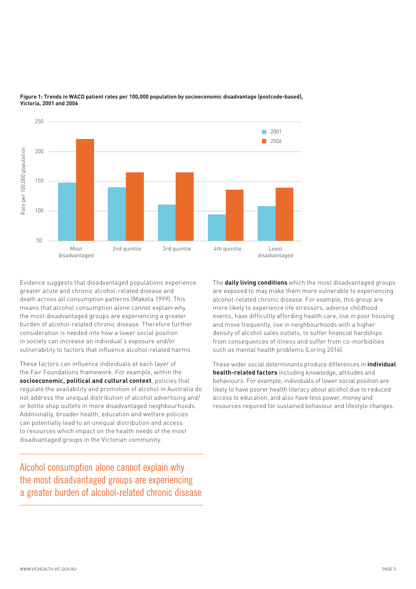

**Figure 1: Trends in WACD patient rates per 100,000 population by socioeconomic disadvantage (postcode-based), Victoria, 2001 and 2006**

Evidence suggests that disadvantaged populations experience greater acute and chronic alcohol-related disease and death across all consumption patterns (Makela 1999). This means that alcohol consumption alone cannot explain why the most disadvantaged groups are experiencing a greater burden of alcohol-related chronic disease. Therefore further consideration is needed into how a lower social position in society can increase an individual's exposure and/or vulnerability to factors that influence alcohol-related harms.

These factors can influence individuals at each layer of the Fair Foundations framework. For example, within the **socioeconomic, political and cultural context**, policies that regulate the availability and promotion of alcohol in Australia do not address the unequal distribution of alcohol advertising and/ or bottle shop outlets in more disadvantaged neighbourhoods. Additionally, broader health, education and welfare policies can potentially lead to an unequal distribution and access to resources which impact on the health needs of the most disadvantaged groups in the Victorian community.

Alcohol consumption alone cannot explain why the most disadvantaged groups are experiencing The **daily living conditions** which the most disadvantaged groups are exposed to may make them more vulnerable to experiencing alcohol-related chronic disease. For example, this group are more likely to experience life stressors, adverse childhood events, have difficultly affording health care, live in poor housing and move frequently, live in neighbourhoods with a higher density of alcohol sales outlets, to suffer financial hardships from consequences of illness and suffer from co-morbidities such as mental health problems (Loring 2014).

These wider social determinants produce differences in **individual health-related factors** including knowledge, attitudes and behaviours. For example, individuals of lower social position are likely to have poorer health literacy about alcohol due to reduced access to education, and also have less power, money and resources required for sustained behaviour and lifestyle changes.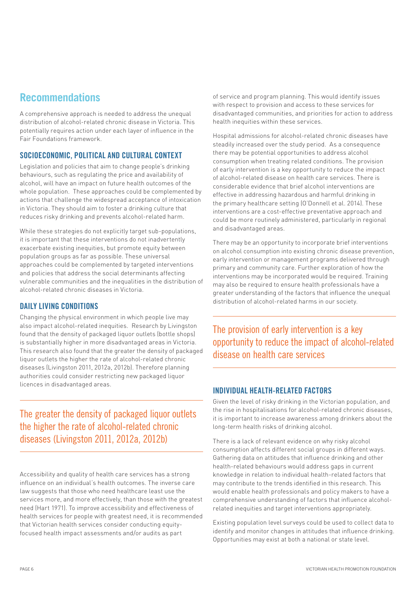### **Recommendations**

A comprehensive approach is needed to address the unequal distribution of alcohol-related chronic disease in Victoria. This potentially requires action under each layer of influence in the Fair Foundations framework.

#### SOCIOECONOMIC, POLITICAL AND CULTURAL CONTEXT

Legislation and policies that aim to change people's drinking behaviours, such as regulating the price and availability of alcohol, will have an impact on future health outcomes of the whole population. These approaches could be complemented by actions that challenge the widespread acceptance of intoxication in Victoria. They should aim to foster a drinking culture that reduces risky drinking and prevents alcohol-related harm.

While these strategies do not explicitly target sub-populations, it is important that these interventions do not inadvertently exacerbate existing inequities, but promote equity between population groups as far as possible. These universal approaches could be complemented by targeted interventions and policies that address the social determinants affecting vulnerable communities and the inequalities in the distribution of alcohol-related chronic diseases in Victoria.

### DAILY LIVING CONDITIONS

Changing the physical environment in which people live may also impact alcohol-related inequities. Research by Livingston found that the density of packaged liquor outlets (bottle shops) is substantially higher in more disadvantaged areas in Victoria. This research also found that the greater the density of packaged liquor outlets the higher the rate of alcohol-related chronic diseases (Livingston 2011, 2012a, 2012b). Therefore planning authorities could consider restricting new packaged liquor licences in disadvantaged areas.

The greater the density of packaged liquor outlets the higher the rate of alcohol-related chronic diseases (Livingston 2011, 2012a, 2012b)

Accessibility and quality of health care services has a strong influence on an individual's health outcomes. The inverse care law suggests that those who need healthcare least use the services more, and more effectively, than those with the greatest need (Hart 1971). To improve accessibility and effectiveness of health services for people with greatest need, it is recommended that Victorian health services consider conducting equityfocused health impact assessments and/or audits as part

of service and program planning. This would identify issues with respect to provision and access to these services for disadvantaged communities, and priorities for action to address health inequities within these services.

Hospital admissions for alcohol-related chronic diseases have steadily increased over the study period. As a consequence there may be potential opportunities to address alcohol consumption when treating related conditions. The provision of early intervention is a key opportunity to reduce the impact of alcohol-related disease on health care services. There is considerable evidence that brief alcohol interventions are effective in addressing hazardous and harmful drinking in the primary healthcare setting (O'Donnell et al. 2014). These interventions are a cost-effective preventative approach and could be more routinely administered, particularly in regional and disadvantaged areas.

There may be an opportunity to incorporate brief interventions on alcohol consumption into existing chronic disease prevention, early intervention or management programs delivered through primary and community care. Further exploration of how the interventions may be incorporated would be required. Training may also be required to ensure health professionals have a greater understanding of the factors that influence the unequal distribution of alcohol-related harms in our society.

The provision of early intervention is a key opportunity to reduce the impact of alcohol-related disease on health care services

### INDIVIDUAL HEALTH-RELATED FACTORS

Given the level of risky drinking in the Victorian population, and the rise in hospitalisations for alcohol-related chronic diseases, it is important to increase awareness among drinkers about the long-term health risks of drinking alcohol.

There is a lack of relevant evidence on why risky alcohol consumption affects different social groups in different ways. Gathering data on attitudes that influence drinking and other health-related behaviours would address gaps in current knowledge in relation to individual health-related factors that may contribute to the trends identified in this research. This would enable health professionals and policy makers to have a comprehensive understanding of factors that influence alcoholrelated inequities and target interventions appropriately.

Existing population level surveys could be used to collect data to identify and monitor changes in attitudes that influence drinking. Opportunities may exist at both a national or state level.